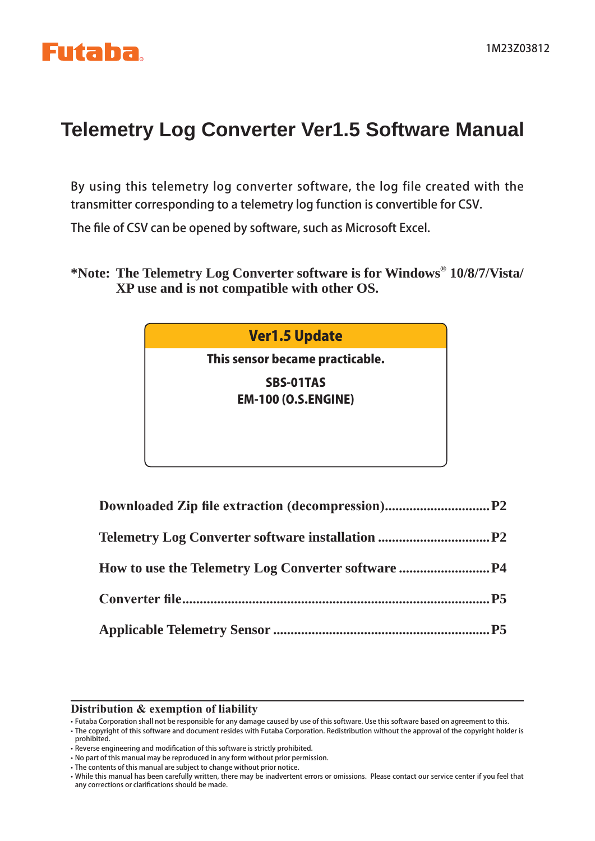## **Telemetry Log Converter Ver1.5 Software Manual**

By using this telemetry log converter software, the log file created with the transmitter corresponding to a telemetry log function is convertible for CSV.

The file of CSV can be opened by software, such as Microsoft Excel.

**\*Note: The Telemetry Log Converter software is for Windows® 10/8/7/Vista/ XP use and is not compatible with other OS.**

#### Ver1.5 Update

This sensor became practicable.

SBS-01TAS EM-100 (O.S.ENGINE)

#### **Distribution & exemption of liability**

• Futaba Corporation shall not be responsible for any damage caused by use of this software. Use this software based on agreement to this.

• The copyright of this software and document resides with Futaba Corporation. Redistribution without the approval of the copyright holder is prohibited.

<sup>•</sup> Reverse engineering and modification of this software is strictly prohibited.

<sup>•</sup> No part of this manual may be reproduced in any form without prior permission.

<sup>•</sup> The contents of this manual are subject to change without prior notice.

<sup>•</sup> While this manual has been carefully written, there may be inadvertent errors or omissions. Please contact our service center if you feel that any corrections or clarifications should be made.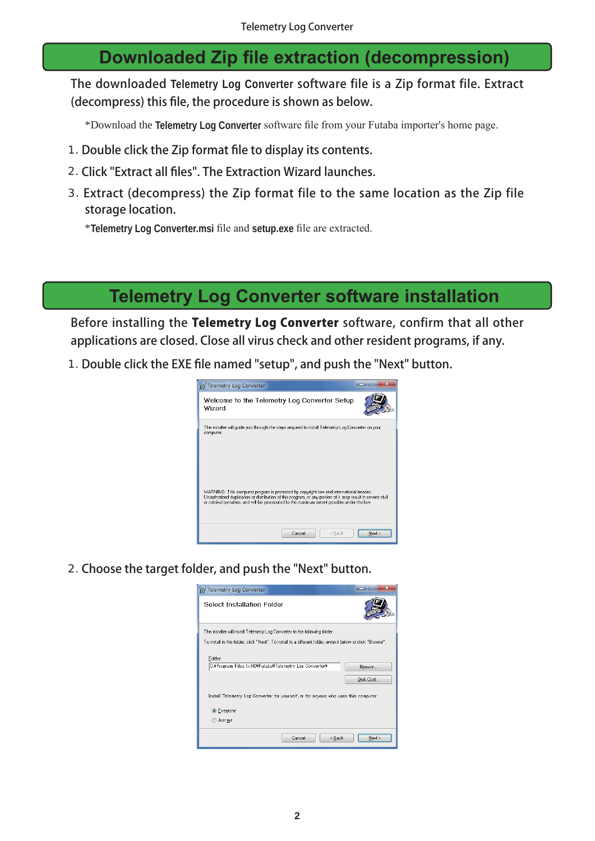### **Downloaded Zip file extraction (decompression)**

The downloaded **Telemetry Log Converter** software file is a Zip format file. Extract (decompress) this file, the procedure is shown as below.

\*Download the **Telemetry Log Converter** software file from your Futaba importer's home page.

- 1. Double click the Zip format file to display its contents.
- 2. Click "Extract all files". The Extraction Wizard launches.
- 3. Extract (decompress) the Zip format file to the same location as the Zip file storage location.

\* Telemetry Log Converter.msi file and setup.exe file are extracted.

### **Telemetry Log Converter software installation**

Before installing the Telemetry Log Converter software, confirm that all other applications are closed. Close all virus check and other resident programs, if any.

1. Double click the EXE file named "setup", and push the "Next" button.



2. Choose the target folder, and push the "Next" button.

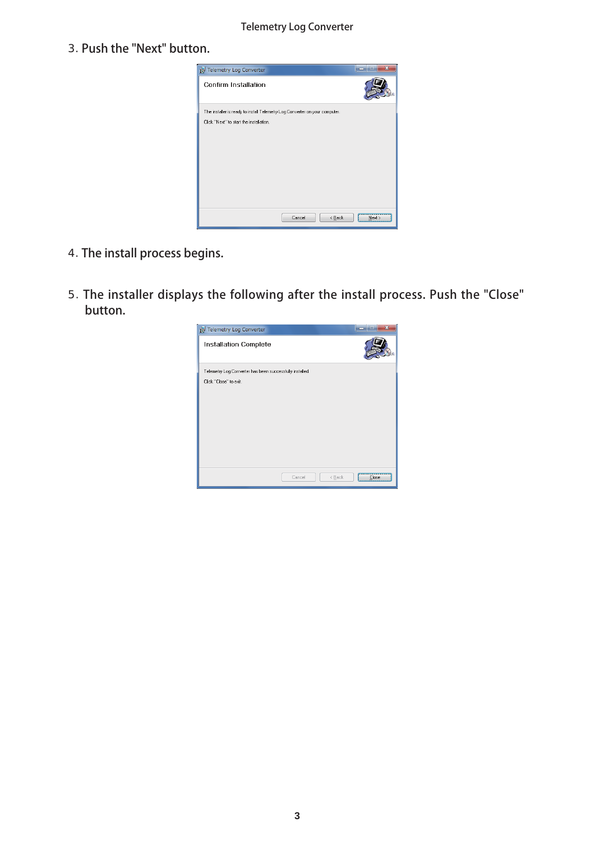#### Telemetry Log Converter

3. Push the "Next" button.



- 4. The install process begins.
- 5. The installer displays the following after the install process. Push the "Close" button.

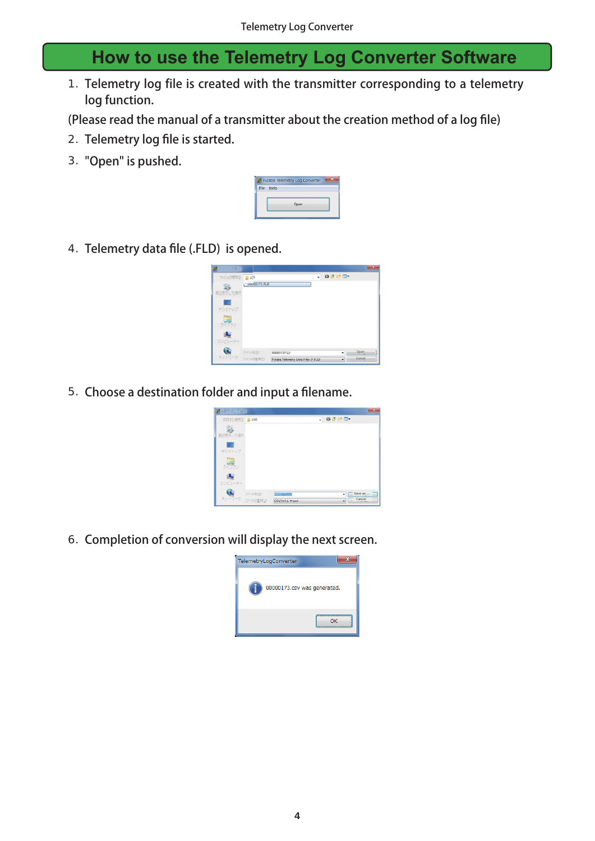## **How to use the Telemetry Log Converter Software**

1. Telemetry log file is created with the transmitter corresponding to a telemetry log function.

(Please read the manual of a transmitter about the creation method of a log file)

- 2. Telemetry log file is started.
- 3. "Open" is pushed.

| Futaba Telemetry Log Converter |
|--------------------------------|
| delo                           |
|                                |
|                                |

4. Telemetry data file (.FLD) is opened.

| アファイルを問く   |              |                                    |   |                                         | $\mathbf{x}$ |
|------------|--------------|------------------------------------|---|-----------------------------------------|--------------|
| ファイルの場所(D) | <b>B</b> LCB |                                    | ٠ | $Q \nightharpoonup P \nightharpoonup T$ |              |
| 鬼          | uuu00173.FLD |                                    |   |                                         |              |
| 最近表示した場所   |              |                                    |   |                                         |              |
| <b>COL</b> |              |                                    |   |                                         |              |
| デスクトップ     |              |                                    |   |                                         |              |
| ã          |              |                                    |   |                                         |              |
| ライブラリ      |              |                                    |   |                                         |              |
|            |              |                                    |   |                                         |              |
| コンピューター    |              |                                    |   |                                         |              |
|            | ファイル名(N)     | 00000173 FLD                       |   | Open<br>٠                               |              |
| ネットワーク     | ファイルの相談(I)   | Futaba Telemetry Data Files (*FLD) |   | Cancel<br>٠                             |              |

5. Choose a destination folder and input a filename.

| <b>RACK FOR THE STAT</b>         |                             |                             |
|----------------------------------|-----------------------------|-----------------------------|
| 保存する環所() 100                     | ٠                           | 0ませ回!                       |
| 94<br>最近世界以た場所                   |                             |                             |
| œ<br>デスクトップ                      |                             |                             |
| ã<br>ライブラリ                       |                             |                             |
| 1Au<br>コンピューター                   |                             |                             |
| ファイル名(N)<br>ネットワーク<br>ファイルの登録(I) | WHO Wices<br>CSVファイル (*csv) | Save as<br>٠<br>Cancel<br>۰ |

6. Completion of conversion will display the next screen.

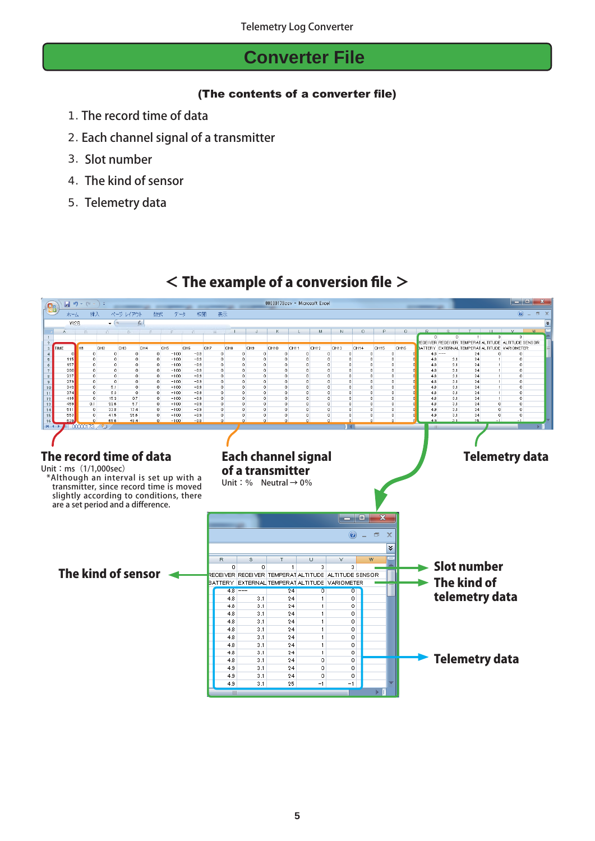### **Converter File**

#### (The contents of a converter file)

- 1. The record time of data
- 2. Each channel signal of a transmitter
- 3. Slot number
- 4. The kind of sensor
- 5. Telemetry data

#### $\leq$  The example of a conversion file  $>$